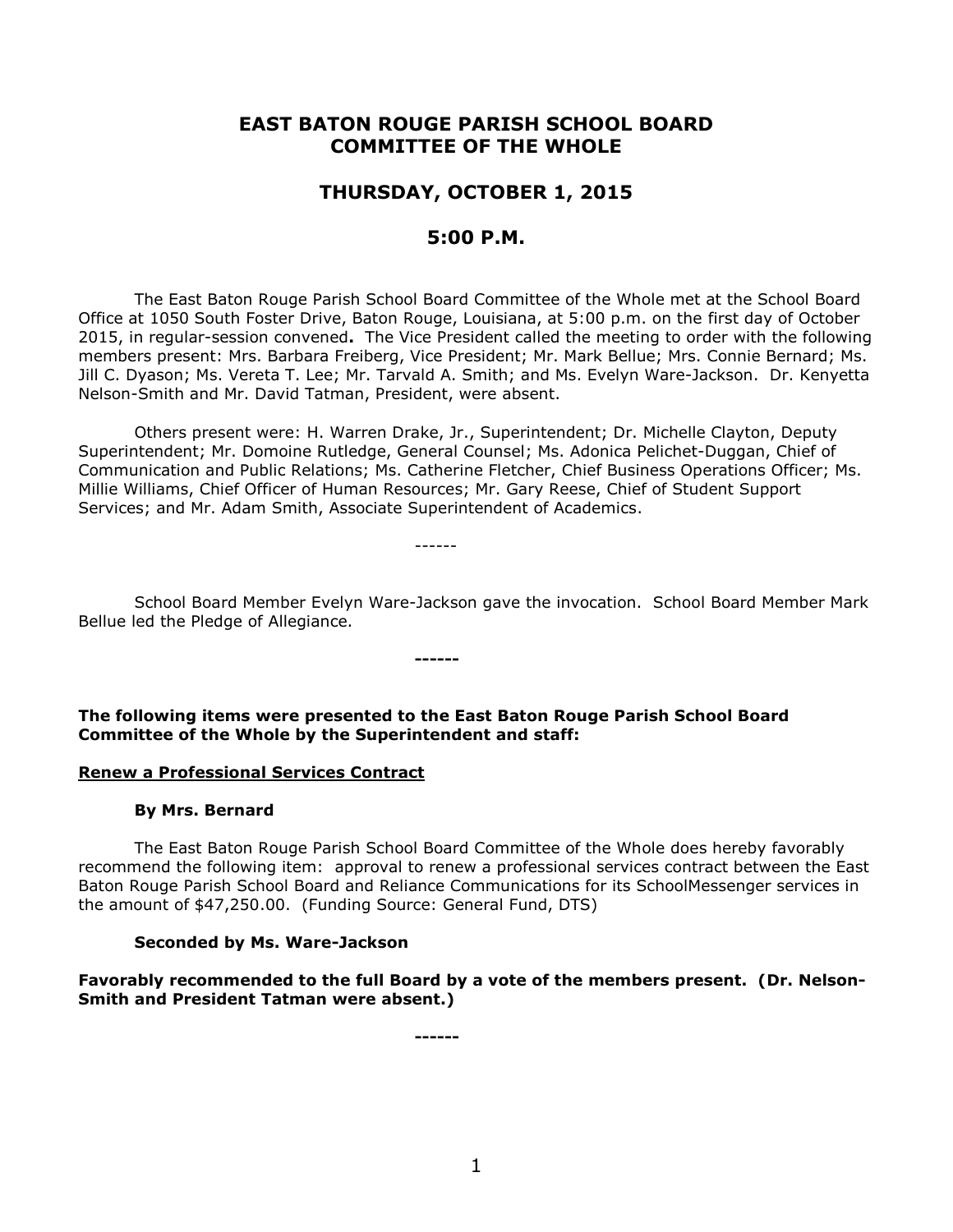# **EAST BATON ROUGE PARISH SCHOOL BOARD COMMITTEE OF THE WHOLE**

# **THURSDAY, OCTOBER 1, 2015**

# **5:00 P.M.**

The East Baton Rouge Parish School Board Committee of the Whole met at the School Board Office at 1050 South Foster Drive, Baton Rouge, Louisiana, at 5:00 p.m. on the first day of October 2015, in regular-session convened**.** The Vice President called the meeting to order with the following members present: Mrs. Barbara Freiberg, Vice President; Mr. Mark Bellue; Mrs. Connie Bernard; Ms. Jill C. Dyason; Ms. Vereta T. Lee; Mr. Tarvald A. Smith; and Ms. Evelyn Ware-Jackson. Dr. Kenyetta Nelson-Smith and Mr. David Tatman, President, were absent.

Others present were: H. Warren Drake, Jr., Superintendent; Dr. Michelle Clayton, Deputy Superintendent; Mr. Domoine Rutledge, General Counsel; Ms. Adonica Pelichet-Duggan, Chief of Communication and Public Relations; Ms. Catherine Fletcher, Chief Business Operations Officer; Ms. Millie Williams, Chief Officer of Human Resources; Mr. Gary Reese, Chief of Student Support Services; and Mr. Adam Smith, Associate Superintendent of Academics.

------

School Board Member Evelyn Ware-Jackson gave the invocation. School Board Member Mark Bellue led the Pledge of Allegiance.

**The following items were presented to the East Baton Rouge Parish School Board Committee of the Whole by the Superintendent and staff:**

**------**

#### **Renew a Professional Services Contract**

#### **By Mrs. Bernard**

The East Baton Rouge Parish School Board Committee of the Whole does hereby favorably recommend the following item: approval to renew a professional services contract between the East Baton Rouge Parish School Board and Reliance Communications for its SchoolMessenger services in the amount of \$47,250.00. (Funding Source: General Fund, DTS)

#### **Seconded by Ms. Ware-Jackson**

**Favorably recommended to the full Board by a vote of the members present. (Dr. Nelson-Smith and President Tatman were absent.)**

**------**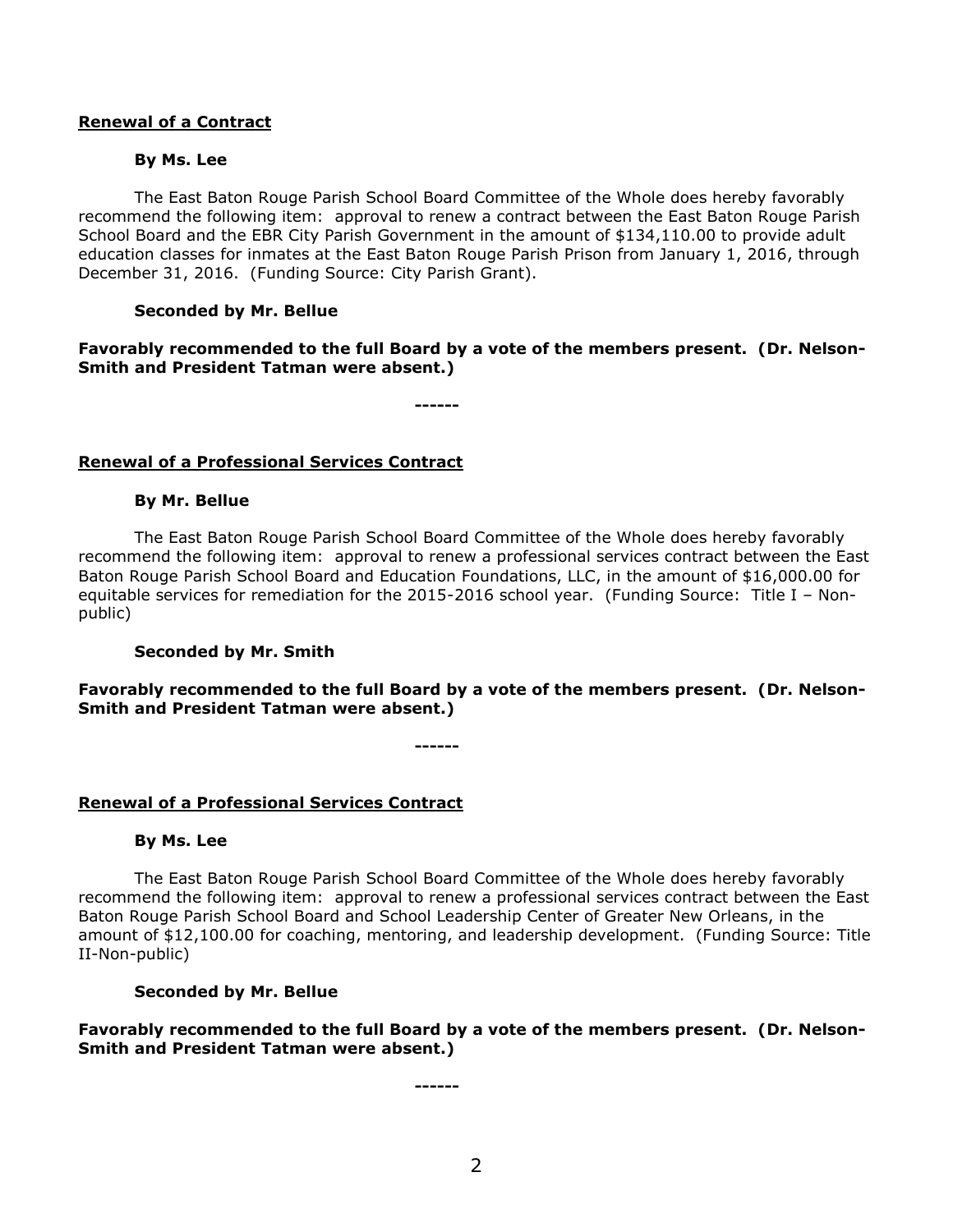## **Renewal of a Contract**

## **By Ms. Lee**

The East Baton Rouge Parish School Board Committee of the Whole does hereby favorably recommend the following item: approval to renew a contract between the East Baton Rouge Parish School Board and the EBR City Parish Government in the amount of \$134,110.00 to provide adult education classes for inmates at the East Baton Rouge Parish Prison from January 1, 2016, through December 31, 2016. (Funding Source: City Parish Grant).

## **Seconded by Mr. Bellue**

**Favorably recommended to the full Board by a vote of the members present. (Dr. Nelson-Smith and President Tatman were absent.)**

**------**

# **Renewal of a Professional Services Contract**

## **By Mr. Bellue**

The East Baton Rouge Parish School Board Committee of the Whole does hereby favorably recommend the following item: approval to renew a professional services contract between the East Baton Rouge Parish School Board and Education Foundations, LLC, in the amount of \$16,000.00 for equitable services for remediation for the 2015-2016 school year. (Funding Source: Title I – Nonpublic)

# **Seconded by Mr. Smith**

**Favorably recommended to the full Board by a vote of the members present. (Dr. Nelson-Smith and President Tatman were absent.)**

**------**

# **Renewal of a Professional Services Contract**

#### **By Ms. Lee**

The East Baton Rouge Parish School Board Committee of the Whole does hereby favorably recommend the following item: approval to renew a professional services contract between the East Baton Rouge Parish School Board and School Leadership Center of Greater New Orleans, in the amount of \$12,100.00 for coaching, mentoring, and leadership development. (Funding Source: Title II-Non-public)

# **Seconded by Mr. Bellue**

**Favorably recommended to the full Board by a vote of the members present. (Dr. Nelson-Smith and President Tatman were absent.)**

**------**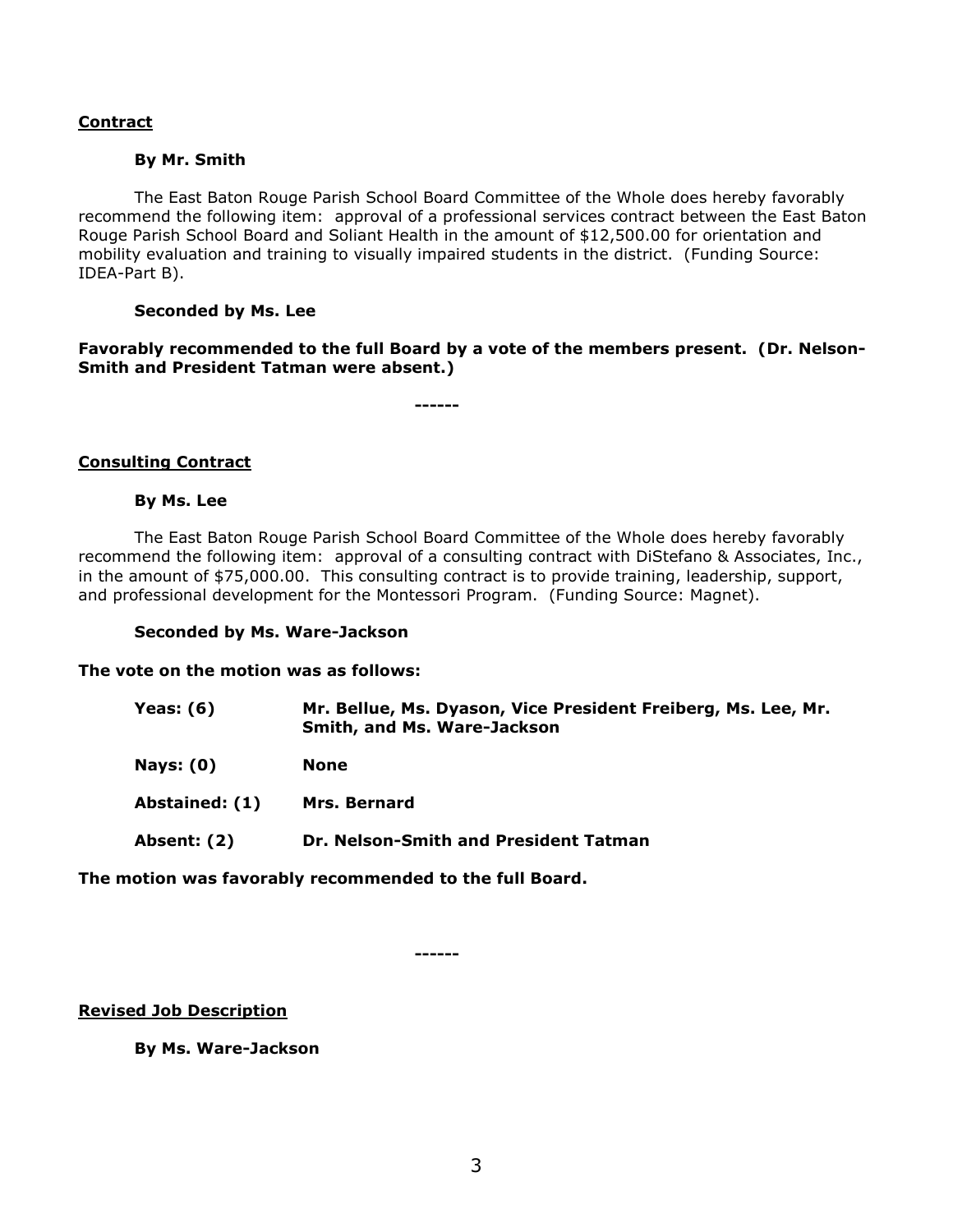# **Contract**

#### **By Mr. Smith**

The East Baton Rouge Parish School Board Committee of the Whole does hereby favorably recommend the following item: approval of a professional services contract between the East Baton Rouge Parish School Board and Soliant Health in the amount of \$12,500.00 for orientation and mobility evaluation and training to visually impaired students in the district. (Funding Source: IDEA-Part B).

#### **Seconded by Ms. Lee**

**Favorably recommended to the full Board by a vote of the members present. (Dr. Nelson-Smith and President Tatman were absent.)**

**------**

## **Consulting Contract**

## **By Ms. Lee**

The East Baton Rouge Parish School Board Committee of the Whole does hereby favorably recommend the following item: approval of a consulting contract with DiStefano & Associates, Inc., in the amount of \$75,000.00. This consulting contract is to provide training, leadership, support, and professional development for the Montessori Program. (Funding Source: Magnet).

#### **Seconded by Ms. Ware-Jackson**

**The vote on the motion was as follows:**

| Yeas: $(6)$    | Mr. Bellue, Ms. Dyason, Vice President Freiberg, Ms. Lee, Mr.<br>Smith, and Ms. Ware-Jackson |
|----------------|----------------------------------------------------------------------------------------------|
| Nays: $(0)$    | <b>None</b>                                                                                  |
| Abstained: (1) | <b>Mrs. Bernard</b>                                                                          |
| Absent: (2)    | Dr. Nelson-Smith and President Tatman                                                        |

**The motion was favorably recommended to the full Board.**

**------**

**Revised Job Description**

**By Ms. Ware-Jackson**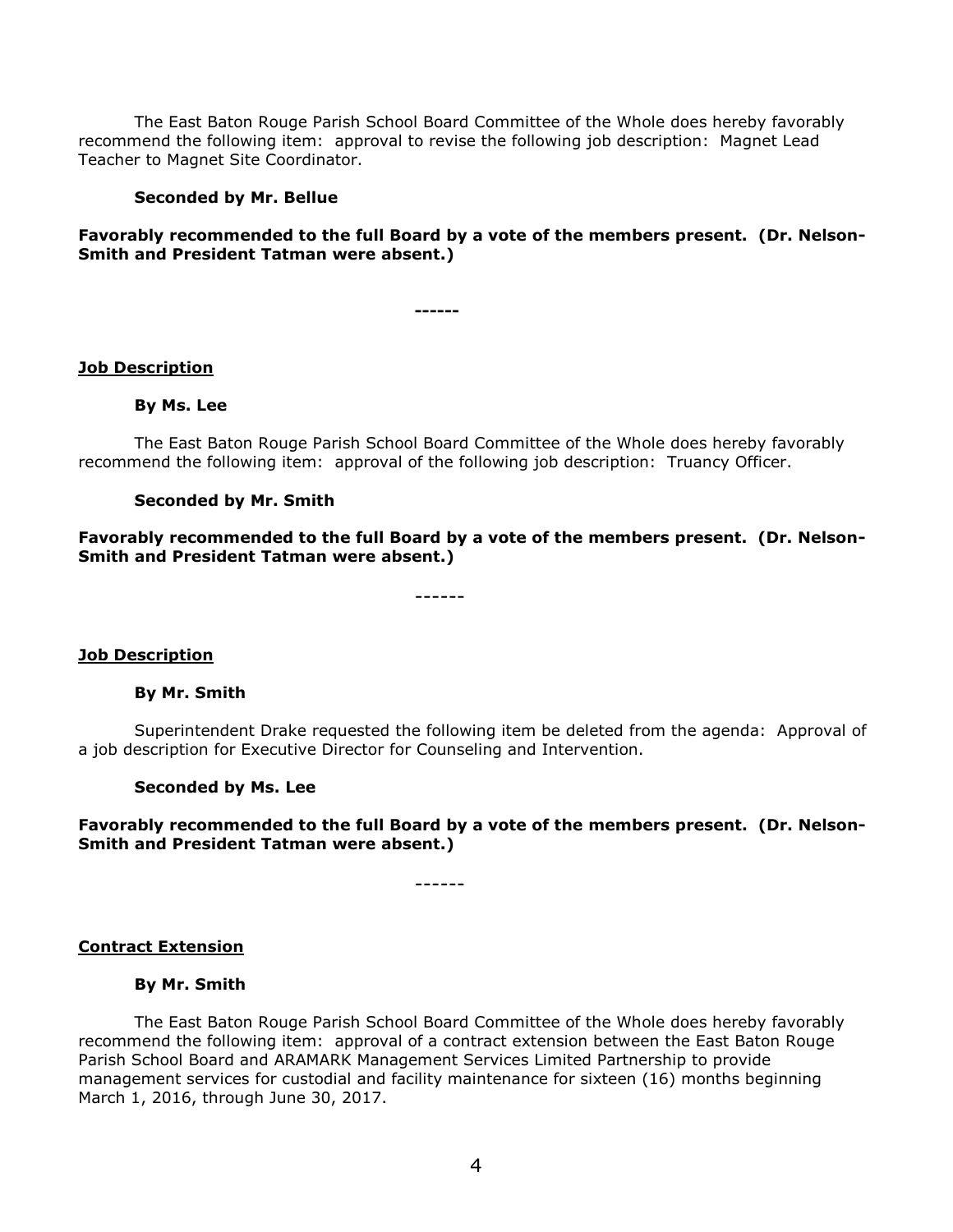The East Baton Rouge Parish School Board Committee of the Whole does hereby favorably recommend the following item: approval to revise the following job description: Magnet Lead Teacher to Magnet Site Coordinator.

## **Seconded by Mr. Bellue**

# **Favorably recommended to the full Board by a vote of the members present. (Dr. Nelson-Smith and President Tatman were absent.)**

**------**

## **Job Description**

## **By Ms. Lee**

The East Baton Rouge Parish School Board Committee of the Whole does hereby favorably recommend the following item: approval of the following job description: Truancy Officer.

## **Seconded by Mr. Smith**

**Favorably recommended to the full Board by a vote of the members present. (Dr. Nelson-Smith and President Tatman were absent.)**

------

#### **Job Description**

#### **By Mr. Smith**

Superintendent Drake requested the following item be deleted from the agenda: Approval of a job description for Executive Director for Counseling and Intervention.

#### **Seconded by Ms. Lee**

**Favorably recommended to the full Board by a vote of the members present. (Dr. Nelson-Smith and President Tatman were absent.)**

------

#### **Contract Extension**

#### **By Mr. Smith**

The East Baton Rouge Parish School Board Committee of the Whole does hereby favorably recommend the following item: approval of a contract extension between the East Baton Rouge Parish School Board and ARAMARK Management Services Limited Partnership to provide management services for custodial and facility maintenance for sixteen (16) months beginning March 1, 2016, through June 30, 2017.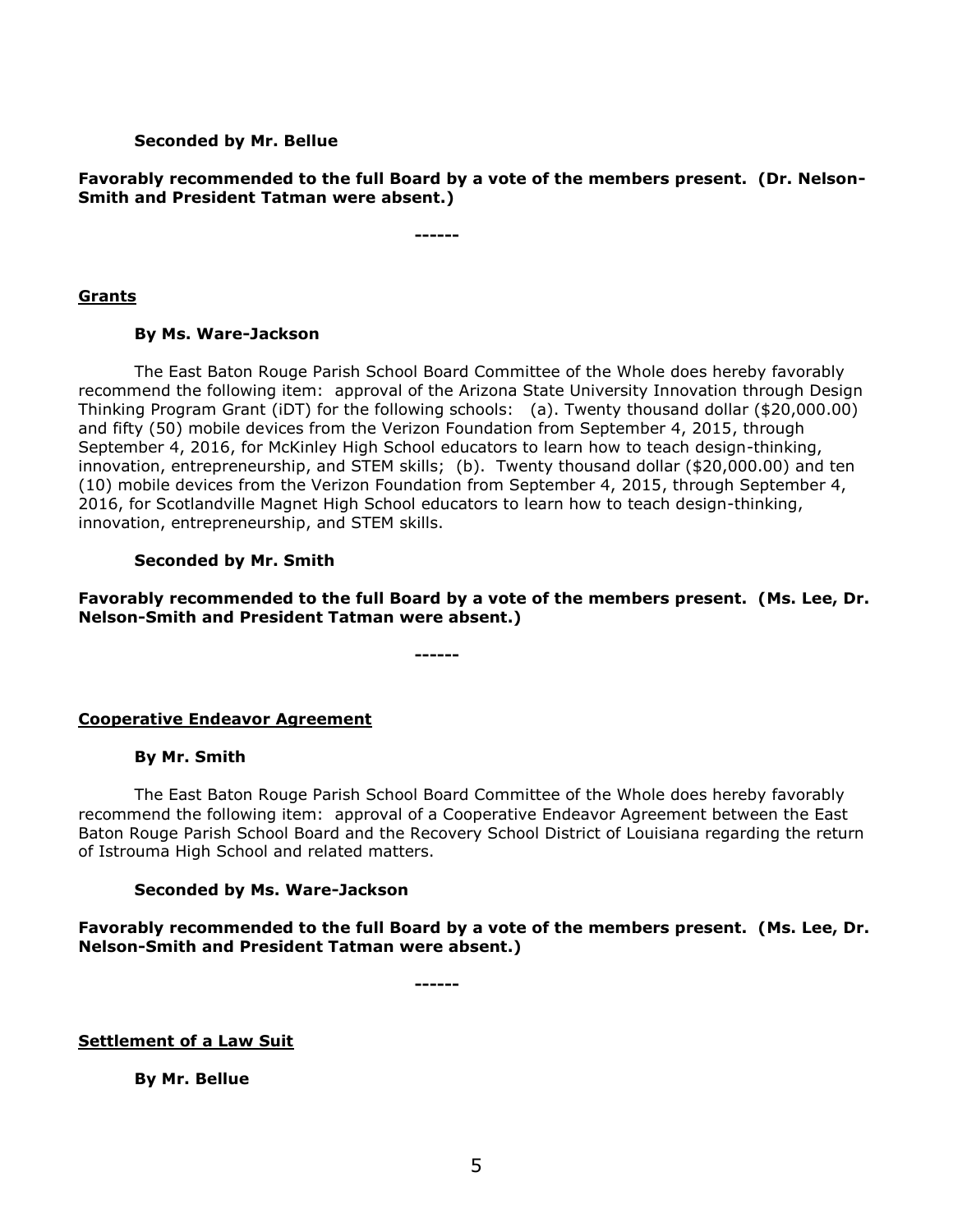## **Seconded by Mr. Bellue**

**Favorably recommended to the full Board by a vote of the members present. (Dr. Nelson-Smith and President Tatman were absent.)**

**------**

## **Grants**

## **By Ms. Ware-Jackson**

The East Baton Rouge Parish School Board Committee of the Whole does hereby favorably recommend the following item: approval of the Arizona State University Innovation through Design Thinking Program Grant (iDT) for the following schools: (a). Twenty thousand dollar (\$20,000.00) and fifty (50) mobile devices from the Verizon Foundation from September 4, 2015, through September 4, 2016, for McKinley High School educators to learn how to teach design-thinking, innovation, entrepreneurship, and STEM skills; (b). Twenty thousand dollar (\$20,000.00) and ten (10) mobile devices from the Verizon Foundation from September 4, 2015, through September 4, 2016, for Scotlandville Magnet High School educators to learn how to teach design-thinking, innovation, entrepreneurship, and STEM skills.

# **Seconded by Mr. Smith**

**Favorably recommended to the full Board by a vote of the members present. (Ms. Lee, Dr. Nelson-Smith and President Tatman were absent.)**

**------**

# **Cooperative Endeavor Agreement**

#### **By Mr. Smith**

The East Baton Rouge Parish School Board Committee of the Whole does hereby favorably recommend the following item: approval of a Cooperative Endeavor Agreement between the East Baton Rouge Parish School Board and the Recovery School District of Louisiana regarding the return of Istrouma High School and related matters.

## **Seconded by Ms. Ware-Jackson**

**Favorably recommended to the full Board by a vote of the members present. (Ms. Lee, Dr. Nelson-Smith and President Tatman were absent.)**

**------**

#### **Settlement of a Law Suit**

**By Mr. Bellue**